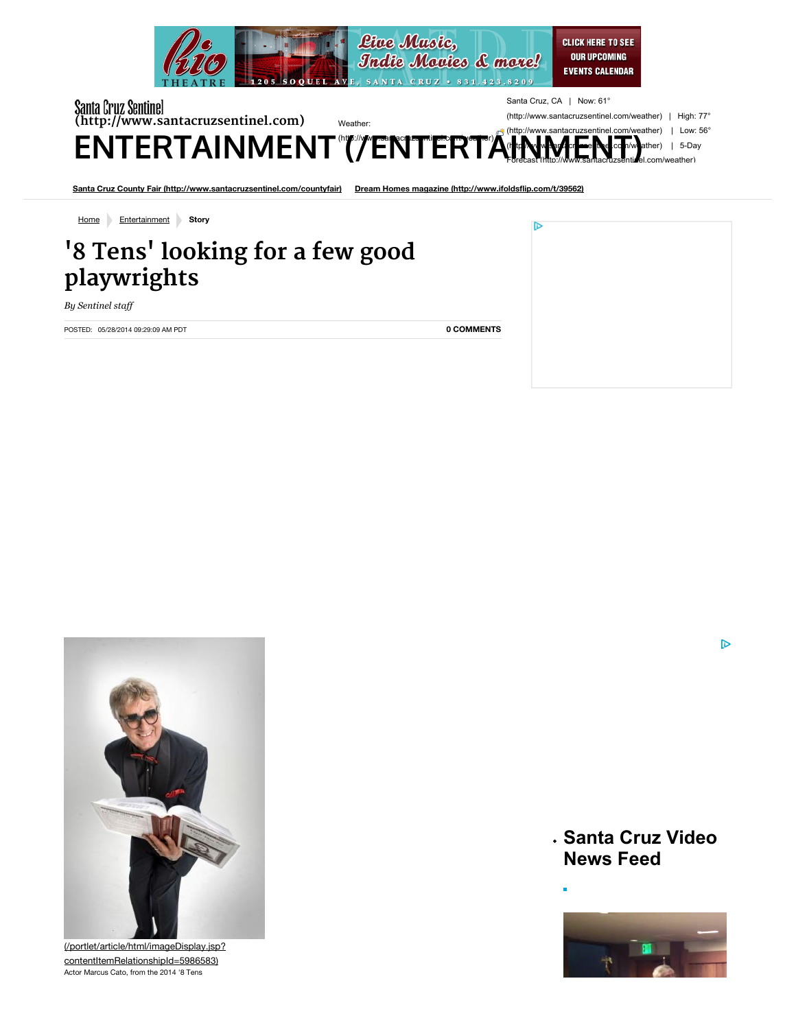

| Santa Cruz Sentinel<br>(http://www.santacruzsentinel.com)<br>ENTERTAINMENT (TENTERTAIN) | Santa Cruz<br>(http://www<br>Weather:<br>$\pi$ (http://www |
|-----------------------------------------------------------------------------------------|------------------------------------------------------------|
| Santa Cruz County Fair (http://www.santacruzsentinel.com/countyfair)                    | Dream Homes magazine (http://www.ifoldsflip.con            |
| Home<br>Entertainment<br>Story                                                          |                                                            |
| '8 Tens' looking for a few good<br>playwrights                                          |                                                            |

*By Sentinel staff*

POSTED: 05/28/2014 09:29:09 AM PDT

**[0 COMMENTS](http://www.santacruzsentinel.com/entertainment/ci_25850541/8-tens-looking-few-good-playwrights#disqus_thread)**